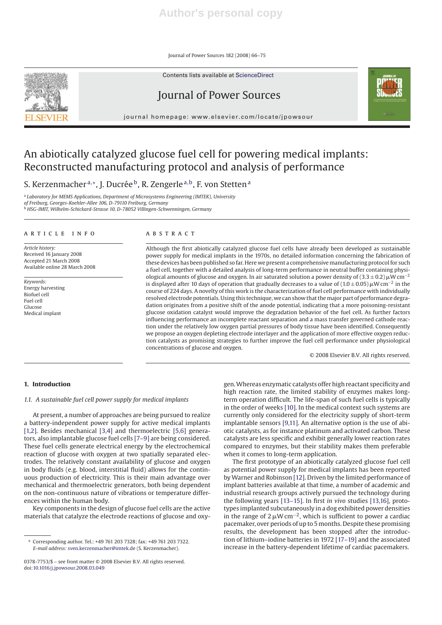Journal of Power Sources 182 (2008) 66–75

Contents lists available at ScienceDirect





journal homepage: www.elsevier.com/locate/jpowsour



# An abiotically catalyzed glucose fuel cell for powering medical implants: Reconstructed manufacturing protocol and analysis of performance

S. Kerzenmacher<sup>a,∗</sup>, J. Ducrée<sup>b</sup>, R. Zengerle<sup>a,b</sup>, F. von Stetten<sup>a</sup>

<sup>a</sup> *Laboratory for MEMS Applications, Department of Microsystems Engineering (IMTEK), University of Freiburg, Georges-Koehler-Allee 106, D-79110 Freiburg, Germany* <sup>b</sup> *HSG-IMIT, Wilhelm-Schickard-Strasse 10, D-78052 Villingen-Schwenningen, Germany*

#### article info

*Article history:* Received 16 January 2008 Accepted 21 March 2008 Available online 28 March 2008

*Keywords:* Energy harvesting Biofuel cell Fuel cell Glucose Medical implant

## **ABSTRACT**

Although the first abiotically catalyzed glucose fuel cells have already been developed as sustainable power supply for medical implants in the 1970s, no detailed information concerning the fabrication of these devices has been published so far. Here we present a comprehensive manufacturing protocol for such a fuel cell, together with a detailed analysis of long-term performance in neutral buffer containing physiological amounts of glucose and oxygen. In air saturated solution a power density of  $(3.3 \pm 0.2)\,\mu$ W cm<sup>-2</sup> is displayed after 10 days of operation that gradually decreases to a value of  $(1.0 \pm 0.05)$  µW cm $^{-2}$  in the course of 224 days. A novelty of this work is the characterization of fuel cell performance with individually resolved electrode potentials. Using this technique, we can show that the major part of performance degradation originates from a positive shift of the anode potential, indicating that a more poisoning-resistant glucose oxidation catalyst would improve the degradation behavior of the fuel cell. As further factors influencing performance an incomplete reactant separation and a mass transfer governed cathode reaction under the relatively low oxygen partial pressures of body tissue have been identified. Consequently we propose an oxygen depleting electrode interlayer and the application of more effective oxygen reduction catalysts as promising strategies to further improve the fuel cell performance under physiological concentrations of glucose and oxygen.

© 2008 Elsevier B.V. All rights reserved.

# **1. Introduction**

#### *1.1. A sustainable fuel cell power supply for medical implants*

At present, a number of approaches are being pursued to realize a battery-independent power supply for active medical implants [1,2]. Besides mechanical [3,4] and thermoelectric [5,6] generators, also implantable glucose fuel cells [7–9] are being considered. These fuel cells generate electrical energy by the electrochemical reaction of glucose with oxygen at two spatially separated electrodes. The relatively constant availability of glucose and oxygen in body fluids (e.g. blood, interstitial fluid) allows for the continuous production of electricity. This is their main advantage over mechanical and thermoelectric generators, both being dependent on the non-continuous nature of vibrations or temperature differences within the human body.

Key components in the design of glucose fuel cells are the active materials that catalyze the electrode reactions of glucose and oxy-

gen.Whereas enzymatic catalysts offer high reactant specificity and high reaction rate, the limited stability of enzymes makes longterm operation difficult. The life-span of such fuel cells is typically in the order of weeks [10]. In the medical context such systems are currently only considered for the electricity supply of short-term implantable sensors [9,11]. An alternative option is the use of abiotic catalysts, as for instance platinum and activated carbon. These catalysts are less specific and exhibit generally lower reaction rates compared to enzymes, but their stability makes them preferable when it comes to long-term application.

The first prototype of an abiotically catalyzed glucose fuel cell as potential power supply for medical implants has been reported by Warner and Robinson [12]. Driven by the limited performance of implant batteries available at that time, a number of academic and industrial research groups actively pursued the technology during the following years [13–15]. In first *in vivo* studies [13,16], prototypes implanted subcutaneously in a dog exhibited power densities in the range of 2  $\mu$ W cm<sup>-2</sup>, which is sufficient to power a cardiac pacemaker, over periods of up to 5 months. Despite these promising results, the development has been stopped after the introduction of lithium–iodine batteries in 1972 [17–19] and the associated increase in the battery-dependent lifetime of cardiac pacemakers.

<sup>∗</sup> Corresponding author. Tel.: +49 761 203 7328; fax: +49 761 203 7322. *E-mail address:* sven.kerzenmacher@imtek.de (S. Kerzenmacher).

<sup>0378-7753/\$ –</sup> see front matter © 2008 Elsevier B.V. All rights reserved. doi:10.1016/j.jpowsour.2008.03.049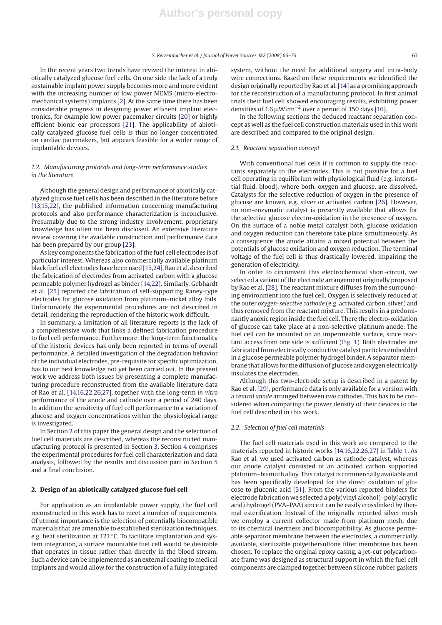In the recent years two trends have revived the interest in abiotically catalyzed glucose fuel cells. On one side the lack of a truly sustainable implant power supply becomes more and more evident with the increasing number of low power MEMS (micro-electromechanical systems) implants [2]. At the same time there has been considerable progress in designing power efficient implant electronics, for example low power pacemaker circuits [20] or highly efficient bionic ear processors [21]. The applicability of abiotically catalyzed glucose fuel cells is thus no longer concentrated on cardiac pacemakers, but appears feasible for a wider range of implantable devices.

# *1.2. Manufacturing protocols and long-term performance studies in the literature*

Although the general design and performance of abiotically catalyzed glucose fuel cells has been described in the literature before [13,15,22], the published information concerning manufacturing protocols and also performance characterization is inconclusive. Presumably due to the strong industry involvement, proprietary knowledge has often not been disclosed. An extensive literature review covering the available construction and performance data has been prepared by our group [23].

As key components the fabrication of the fuel cell electrodes is of particular interest. Whereas also commercially available platinum black fuel cell electrodes have been used[15,24], Rao et al. described the fabrication of electrodes from activated carbon with a glucose permeable polymer hydrogel as binder [14,22]. Similarly, Gebhardt et al. [25] reported the fabrication of self-supporting Raney-type electrodes for glucose oxidation from platinum–nickel alloy foils. Unfortunately the experimental procedures are not described in detail, rendering the reproduction of the historic work difficult.

In summary, a limitation of all literature reports is the lack of a comprehensive work that links a defined fabrication procedure to fuel cell performance. Furthermore, the long-term functionality of the historic devices has only been reported in terms of overall performance. A detailed investigation of the degradation behavior of the individual electrodes, pre-requisite for specific optimization, has to our best knowledge not yet been carried out. In the present work we address both issues by presenting a complete manufacturing procedure reconstructed from the available literature data of Rao et al. [14,16,22,26,27], together with the long-term *in vitro* performance of the anode and cathode over a period of 240 days. In addition the sensitivity of fuel cell performance to a variation of glucose and oxygen concentrations within the physiological range is investigated.

In Section 2 of this paper the general design and the selection of fuel cell materials are described, whereas the reconstructed manufacturing protocol is presented in Section 3. Section 4 comprises the experimental procedures for fuel cell characterization and data analysis, followed by the results and discussion part in Section 5 and a final conclusion.

#### **2. Design of an abiotically catalyzed glucose fuel cell**

For application as an implantable power supply, the fuel cell reconstructed in this work has to meet a number of requirements. Of utmost importance is the selection of potentially biocompatible materials that are amenable to established sterilization techniques, e.g. heat sterilization at 121 ℃. To facilitate implantation and system integration, a surface mountable fuel cell would be desirable that operates in tissue rather than directly in the blood stream. Such a device can be implemented as an external coating to medical implants and would allow for the construction of a fully integrated system, without the need for additional surgery and intra-body wire connections. Based on these requirements we identified the design originally reported by Rao et al.[14] as a promising approach for the reconstruction of a manufacturing protocol. In first animal trials their fuel cell showed encouraging results, exhibiting power densities of 1.6  $\mu$ W cm<sup>-2</sup> over a period of 150 days [16].

In the following sections the deduced reactant separation concept as well as the fuel cell construction materials used in this work are described and compared to the original design.

## *2.1. Reactant separation concept*

With conventional fuel cells it is common to supply the reactants separately to the electrodes. This is not possible for a fuel cell operating in equilibrium with physiological fluid (e.g. interstitial fluid, blood), where both, oxygen and glucose, are dissolved. Catalysts for the selective reduction of oxygen in the presence of glucose are known, e.g. silver or activated carbon [26]. However, no non-enzymatic catalyst is presently available that allows for the selective glucose electro-oxidation in the presence of oxygen. On the surface of a noble metal catalyst both, glucose oxidation and oxygen reduction can therefore take place simultaneously. As a consequence the anode attains a mixed potential between the potentials of glucose oxidation and oxygen reduction. The terminal voltage of the fuel cell is thus drastically lowered, impairing the generation of electricity.

In order to circumvent this electrochemical short-circuit, we selected a variant of the electrode arrangement originally proposed by Rao et al. [28]. The reactant mixture diffuses from the surrounding environment into the fuel cell. Oxygen is selectively reduced at the outer *oxygen-selective cathode* (e.g. activated carbon, silver) and thus removed from the reactant mixture. This results in a predominantly anoxic region inside the fuel cell. There the electro-oxidation of glucose can take place at a non-selective platinum anode. The fuel cell can be mounted on an impermeable surface, since reactant access from one side is sufficient (Fig. 1). Both electrodes are fabricated from electrically conductive catalyst particles embedded in a glucose permeable polymer hydrogel binder. A separator membrane that allows for the diffusion of glucose and oxygen electrically insulates the electrodes.

Although this two-electrode setup is described in a patent by Rao et al. [29], performance data is only available for a version with a *central anode* arranged between *two* cathodes. This has to be considered when comparing the power density of their devices to the fuel cell described in this work.

## *2.2. Selection of fuel cell materials*

The fuel cell materials used in this work are compared to the materials reported in historic works [14,16,22,26,27] in Table 1. As Rao et al. we used activated carbon as cathode catalyst, whereas our anode catalyst consisted of an activated carbon supported platinum–bismuth alloy. This catalyst is commercially available and has been specifically developed for the direct oxidation of glucose to gluconic acid [31]. From the various reported binders for electrode fabrication we selected a poly(vinyl alcohol)–poly(acrylic acid) hydrogel (PVA–PAA) since it can be easily crosslinked by thermal esterification. Instead of the originally reported silver mesh we employ a current collector made from platinum mesh, due to its chemical inertness and biocompatibility. As glucose permeable separator membrane between the electrodes, a commercially available, sterilizable polyethersulfone filter membrane has been chosen. To replace the original epoxy casing, a jet-cut polycarbonate frame was designed as structural support in which the fuel cell components are clamped together between silicone rubber gaskets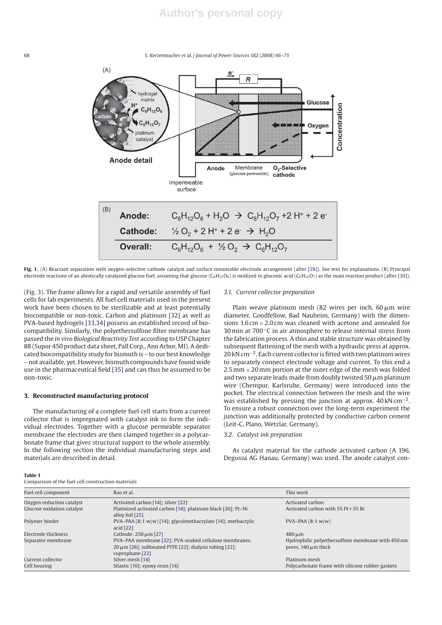68 *S. Kerzenmacher et al. / Journal of Power Sources 182 (2008) 66–75*



**Fig. 1.** (A) Reactant separation with oxygen-selective cathode catalyst and surface mountable electrode arrangement (after [28]). See text for explanations. (B) Principal electrode reactions of an abiotically catalyzed glucose fuel, assuming that glucose ( $C_6H_{12}O_6$ ) is oxidized to gluconic acid ( $C_6H_{12}O_7$ ) as the main reaction product (after [30]).

(Fig. 3). The frame allows for a rapid and versatile assembly of fuel cells for lab experiments. All fuel cell materials used in the present work have been chosen to be sterilizable and at least potentially biocompatible or non-toxic. Carbon and platinum [32] as well as PVA-based hydrogels [33,34] possess an established record of biocompatibility. Similarly, the polyethersulfone filter membrane has passed the *in vivo Biological Reactivity Test* according to USP Chapter 88 (Supor 450 product data sheet, Pall Corp., Ann Arbor, MI). A dedicated biocompatibility study for bismuth is – to our best knowledge – not available, yet. However, bismuth compounds have found wide use in the pharmaceutical field [35] and can thus be assumed to be non-toxic.

## **3. Reconstructed manufacturing protocol**

The manufacturing of a complete fuel cell starts from a current collector that is impregnated with catalyst ink to form the individual electrodes. Together with a glucose permeable separator membrane the electrodes are then clamped together in a polycarbonate frame that gives structural support to the whole assembly. In the following section the individual manufacturing steps and materials are described in detail.

#### *3.1. Current collector preparation*

Plain weave platinum mesh (82 wires per inch, 60 $\mu$ m wire diameter, Goodfellow, Bad Nauheim, Germany) with the dimensions 1.6 cm  $\times$  2.0 cm was cleaned with acetone and annealed for 30 min at  $700\,^{\circ}$ C in air atmosphere to release internal stress from the fabrication process. A thin and stable structure was obtained by subsequent flattening of the mesh with a hydraulic press at approx. 20 kN cm<sup>−2</sup>. Each current collector is fitted with two platinum wires to separately connect electrode voltage and current. To this end a  $2.5$  mm  $\times$  20 mm portion at the outer edge of the mesh was folded and two separate leads made from doubly twisted 50  $\mu$ m platinum wire (Chempur, Karlsruhe, Germany) were introduced into the pocket. The electrical connection between the mesh and the wire was established by pressing the junction at approx. 40 kN cm−2. To ensure a robust connection over the long-term experiment the junction was additionally protected by conductive carbon cement (Leit-C, Plano, Wetzlar, Germany).

# *3.2. Catalyst ink preparation*

As catalyst material for the cathode activated carbon (A 196, Degussa AG Hanau, Germany) was used. The anode catalyst con-

| . . | ٠<br>٠ |  |
|-----|--------|--|

Comparison of the fuel cell construction materials

| Fuel cell component        | Rao et al.                                                                                                                                | This work                                                                     |
|----------------------------|-------------------------------------------------------------------------------------------------------------------------------------------|-------------------------------------------------------------------------------|
| Oxygen reduction catalyst  | Activated carbon [14]; silver [22]                                                                                                        | Activated carbon                                                              |
| Glucose oxidation catalyst | Platinized activated carbon [14]; platinum black [26]; Pt-Ni<br>alloy foil [25]                                                           | Activated carbon with $5\%$ Pt + $5\%$ Bi                                     |
| Polymer binder             | PVA-PAA (8:1 w/w) [14]; glycolmethacrylate [14]; methacrylic<br>acid $[22]$                                                               | $PVA-PAA(8:1 w/w)$                                                            |
| Electrode thickness        | Cathode: $250 \mu m$ [27]                                                                                                                 | $480 \,\mathrm{\upmu m}$                                                      |
| Separator membrane         | PVA-PAA membrane [22]; PVA-soaked cellulose membranes,<br>$20 \mu m$ [26]; sulfonated PTFE [22]; dialysis tubing [22];<br>cuprophane [22] | Hydrophilic polyethersulfone membrane with 450 nm<br>pores, $140 \mu m$ thick |
| Current collector          | Silver mesh [14]                                                                                                                          | Platinum mesh                                                                 |
| Cell housing               | Silastic [16]; epoxy resin [14]                                                                                                           | Polycarbonate frame with silicone rubber gaskets                              |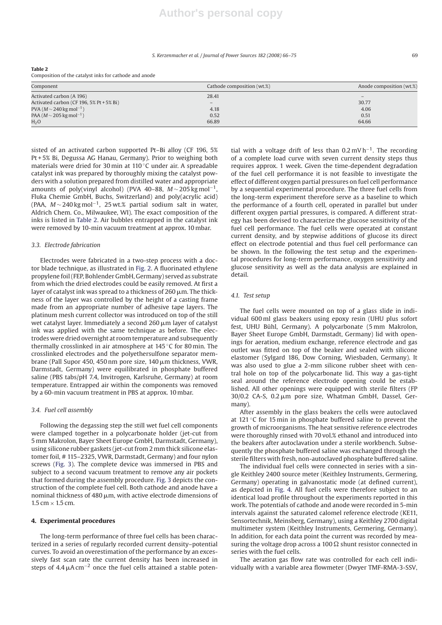#### *S. Kerzenmacher et al. / Journal of Power Sources 182 (2008) 66–75* 69

#### **Table 2**

Composition of the catalyst inks for cathode and anode

| Component                                 | Cathode composition (wt.%) | Anode composition (wt.%) |
|-------------------------------------------|----------------------------|--------------------------|
| Activated carbon (A 196)                  | 28.41                      |                          |
| Activated carbon (CF 196, 5% Pt + 5% Bi)  | $\overline{\phantom{a}}$   | 30.77                    |
| PVA ( $M \sim 240$ kg mol <sup>-1</sup> ) | 4.18                       | 4.06                     |
| PAA ( $M \sim 205$ kg mol <sup>-1</sup> ) | 0.52                       | 0.51                     |
| H <sub>2</sub> O                          | 66.89                      | 64.66                    |

sisted of an activated carbon supported Pt–Bi alloy (CF 196, 5% Pt + 5% Bi, Degussa AG Hanau, Germany). Prior to weighing both materials were dried for 30 min at 110 ◦C under air. A spreadable catalyst ink was prepared by thoroughly mixing the catalyst powders with a solution prepared from distilled water and appropriate amounts of poly(vinyl alcohol) (PVA 40–88,  $M \sim 205$  kg mol<sup>-1</sup>, Fluka Chemie GmbH, Buchs, Switzerland) and poly(acrylic acid) (PAA, *<sup>M</sup>* <sup>∼</sup> 240 kg mol−1, 25 wt.% partial sodium salt in water, Aldrich Chem. Co., Milwaukee, WI). The exact composition of the inks is listed in Table 2. Air bubbles entrapped in the catalyst ink were removed by 10-min vacuum treatment at approx. 10 mbar.

#### *3.3. Electrode fabrication*

Electrodes were fabricated in a two-step process with a doctor blade technique, as illustrated in Fig. 2. A fluorinated ethylene propylene foil (FEP, Bohlender GmbH, Germany) served as substrate from which the dried electrodes could be easily removed. At first a layer of catalyst ink was spread to a thickness of 260  $\mu$ m. The thickness of the layer was controlled by the height of a casting frame made from an appropriate number of adhesive tape layers. The platinum mesh current collector was introduced on top of the still wet catalyst layer. Immediately a second 260  $\rm \mu m$  layer of catalyst ink was applied with the same technique as before. The electrodes were dried overnight at room temperature and subsequently thermally crosslinked in air atmosphere at 145 ◦C for 80 min. The crosslinked electrodes and the polyethersulfone separator membrane (Pall Supor 450, 450 nm pore size, 140 µm thickness, VWR, Darmstadt, Germany) were equilibrated in phosphate buffered saline (PBS tabs/pH 7.4, Invitrogen, Karlsruhe, Germany) at room temperature. Entrapped air within the components was removed by a 60-min vacuum treatment in PBS at approx. 10 mbar.

#### *3.4. Fuel cell assembly*

Following the degassing step the still wet fuel cell components were clamped together in a polycarbonate holder (jet-cut from 5 mm Makrolon, Bayer Sheet Europe GmbH, Darmstadt, Germany), using silicone rubber gaskets (jet-cut from 2 mm thick silicone elastomer foil, # 115–2325, VWR, Darmstadt, Germany) and four nylon screws (Fig. 3). The complete device was immersed in PBS and subject to a second vacuum treatment to remove any air pockets that formed during the assembly procedure. Fig. 3 depicts the construction of the complete fuel cell. Both cathode and anode have a nominal thickness of 480  $\mu$ m, with active electrode dimensions of  $1.5$  cm  $\times$  1.5 cm.

#### **4. Experimental procedures**

The long-term performance of three fuel cells has been characterized in a series of regularly recorded current density–potential curves. To avoid an overestimation of the performance by an excessively fast scan rate the current density has been increased in steps of 4.4  $\mu$ A cm<sup>-2</sup> once the fuel cells attained a stable potential with a voltage drift of less than 0.2 mV h−1. The recording of a complete load curve with seven current density steps thus requires approx. 1 week. Given the time-dependent degradation of the fuel cell performance it is not feasible to investigate the effect of different oxygen partial pressures on fuel cell performance by a sequential experimental procedure. The three fuel cells from the long-term experiment therefore serve as a baseline to which the performance of a fourth cell, operated in parallel but under different oxygen partial pressures, is compared. A different strategy has been devised to characterize the glucose sensitivity of the fuel cell performance. The fuel cells were operated at constant current density, and by stepwise additions of glucose its direct effect on electrode potential and thus fuel cell performance can be shown. In the following the test setup and the experimental procedures for long-term performance, oxygen sensitivity and glucose sensitivity as well as the data analysis are explained in detail.

## *4.1. Test setup*

The fuel cells were mounted on top of a glass slide in individual 600 ml glass beakers using epoxy resin (UHU plus sofort fest, UHU Bühl, Germany). A polycarbonate (5 mm Makrolon, Bayer Sheet Europe GmbH, Darmstadt, Germany) lid with openings for aeration, medium exchange, reference electrode and gas outlet was fitted on top of the beaker and sealed with silicone elastomer (Sylgard 186, Dow Corning, Wiesbaden, Germany). It was also used to glue a 2-mm silicone rubber sheet with central hole on top of the polycarbonate lid. This way a gas-tight seal around the reference electrode opening could be established. All other openings were equipped with sterile filters (FP  $30/0.2$  CA-S,  $0.2 \mu m$  pore size, Whatman GmbH, Dassel, Germany).

After assembly in the glass beakers the cells were autoclaved at 121 ◦C for 15 min in phosphate buffered saline to prevent the growth of microorganisms. The heat sensitive reference electrodes were thoroughly rinsed with 70 vol.% ethanol and introduced into the beakers after autoclavation under a sterile workbench. Subsequently the phosphate buffered saline was exchanged through the sterile filters with fresh, non-autoclaved phosphate buffered saline.

The individual fuel cells were connected in series with a single Keithley 2400 source meter (Keithley Instruments, Germering, Germany) operating in galvanostatic mode (at defined current), as depicted in Fig. 4. All fuel cells were therefore subject to an identical load profile throughout the experiments reported in this work. The potentials of cathode and anode were recorded in 5-min intervals against the saturated calomel reference electrode (KE11, Sensortechnik, Meinsberg, Germany), using a Keithley 2700 digital multimeter system (Keithley Instruments, Germering, Germany). In addition, for each data point the current was recorded by measuring the voltage drop across a 100  $\Omega$  shunt resistor connected in series with the fuel cells.

The aeration gas flow rate was controlled for each cell individually with a variable area flowmeter (Dwyer TMF-RMA-3-SSV,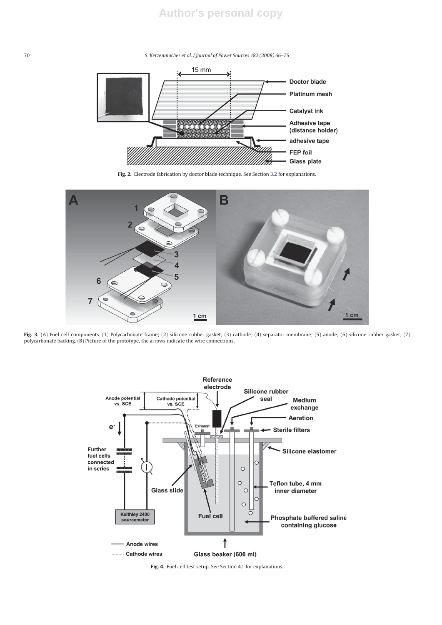70 *S. Kerzenmacher et al. / Journal of Power Sources 182 (2008) 66–75*



**Fig. 2.** Electrode fabrication by doctor blade technique. See Section 3.2 for explanations.



**Fig. 3.** (A) Fuel cell components. (1) Polycarbonate frame; (2) silicone rubber gasket; (3) cathode; (4) separator membrane; (5) anode; (6) silicone rubber gasket; (7) polycarbonate backing. (B) Picture of the prototype, the arrows indicate the wire connections.



**Fig. 4.** Fuel cell test setup. See Section 4.1 for explanations.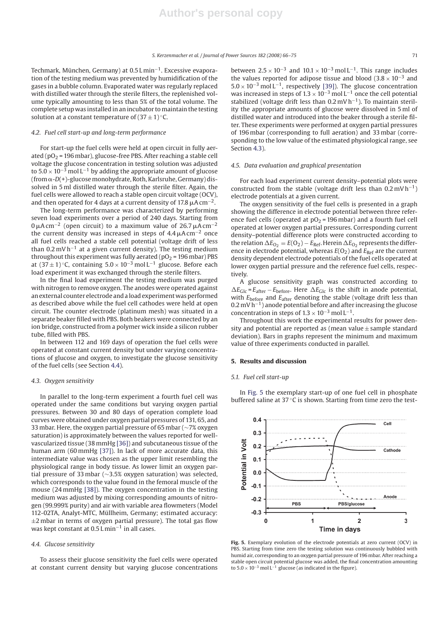Techmark, München, Germany) at  $0.5$  Lmin<sup> $-1$ </sup>. Excessive evaporation of the testing medium was prevented by humidification of the gases in a bubble column. Evaporated water was regularly replaced with distilled water through the sterile filters, the replenished volume typically amounting to less than 5% of the total volume. The complete setup was installed in an incubator to maintain the testing solution at a constant temperature of  $(37 \pm 1)$  °C.

#### *4.2. Fuel cell start-up and long-term performance*

For start-up the fuel cells were held at open circuit in fully aerated ( $pO<sub>2</sub>$  = 196 mbar), glucose-free PBS. After reaching a stable cell voltage the glucose concentration in testing solution was adjusted to  $5.0 \times 10^{-3}$  mol L<sup>-1</sup> by adding the appropriate amount of glucose (from  $\alpha$ -*D*(+)-glucose monohydrate, Roth, Karlsruhe, Germany) dissolved in 5 ml distilled water through the sterile filter. Again, the fuel cells were allowed to reach a stable open circuit voltage (OCV), and then operated for 4 days at a current density of 17.8  $\mu$ A cm<sup>−2</sup>.

The long-term performance was characterized by performing seven load experiments over a period of 240 days. Starting from  $0 \,\mu$ A cm<sup>-2</sup> (open circuit) to a maximum value of 26.7  $\mu$ A cm<sup>-2</sup> the current density was increased in steps of 4.4  $\mu$ A cm<sup>−2</sup> once all fuel cells reached a stable cell potential (voltage drift of less than  $0.2$  mV h<sup>-1</sup> at a given current density). The testing medium throughout this experiment was fully aerated ( $pO<sub>2</sub>$  = 196 mbar) PBS at  $(37 \pm 1)$ °C, containing  $5.0 \times 10^{-3}$  mol L<sup>-1</sup> glucose. Before each load experiment it was exchanged through the sterile filters.

In the final load experiment the testing medium was purged with nitrogen to remove oxygen. The anodes were operated against an external counter electrode and a load experiment was performed as described above while the fuel cell cathodes were held at open circuit. The counter electrode (platinum mesh) was situated in a separate beaker filled with PBS. Both beakers were connected by an ion bridge, constructed from a polymer wick inside a silicon rubber tube, filled with PBS.

In between 112 and 169 days of operation the fuel cells were operated at constant current density but under varying concentrations of glucose and oxygen, to investigate the glucose sensitivity of the fuel cells (see Section 4.4).

#### *4.3. Oxygen sensitivity*

In parallel to the long-term experiment a fourth fuel cell was operated under the same conditions but varying oxygen partial pressures. Between 30 and 80 days of operation complete load curves were obtained under oxygen partial pressures of 131, 65, and 33 mbar. Here, the oxygen partial pressure of 65 mbar (∼7% oxygen saturation) is approximately between the values reported for wellvascularized tissue (38 mmHg [36]) and subcutaneous tissue of the human arm (60 mmHg [37]). In lack of more accurate data, this intermediate value was chosen as the upper limit resembling the physiological range in body tissue. As lower limit an oxygen partial pressure of 33 mbar (∼3.5% oxygen saturation) was selected, which corresponds to the value found in the femoral muscle of the mouse (24 mmHg [38]). The oxygen concentration in the testing medium was adjusted by mixing corresponding amounts of nitrogen (99.999% purity) and air with variable area flowmeters (Model 112-02TA, Analyt-MTC, Müllheim, Germany; estimated accuracy:  $\pm$ 2 mbar in terms of oxygen partial pressure). The total gas flow was kept constant at 0.5 L min−<sup>1</sup> in all cases.

#### *4.4. Glucose sensitivity*

To assess their glucose sensitivity the fuel cells were operated at constant current density but varying glucose concentrations between  $2.5 \times 10^{-3}$  and  $10.1 \times 10^{-3}$  mol L<sup>-1</sup>. This range includes the values reported for adipose tissue and blood  $(3.8 \times 10^{-3}$  and 5.0 <sup>×</sup> <sup>10</sup>−<sup>3</sup> mol L−1, respectively [39]). The glucose concentration was increased in steps of  $1.3 \times 10^{-3}$  mol L<sup>-1</sup> once the cell potential stabilized (voltage drift less than 0.2 mV h−1). To maintain sterility the appropriate amounts of glucose were dissolved in 5 ml of distilled water and introduced into the beaker through a sterile filter. These experiments were performed at oxygen partial pressures of 196 mbar (corresponding to full aeration) and 33 mbar (corresponding to the low value of the estimated physiological range, see Section 4.3).

#### *4.5. Data evaluation and graphical presentation*

For each load experiment current density–potential plots were constructed from the stable (voltage drift less than  $0.2 \text{ mV h}^{-1}$ ) electrode potentials at a given current.

The oxygen sensitivity of the fuel cells is presented in a graph showing the difference in electrode potential between three reference fuel cells (operated at  $pO<sub>2</sub> = 196$  mbar) and a fourth fuel cell operated at lower oxygen partial pressures. Corresponding current density–potential difference plots were constructed according to the relation  $\Delta E_{\text{O}_2} = E(\text{O}_2) - E_{\text{Ref}}$ . Herein  $\Delta E_{\text{O}_2}$  represents the difference in electrode potential, whereas  $E(O_2)$  and  $E_{Ref}$  are the current density dependent electrode potentials of the fuel cells operated at lower oxygen partial pressure and the reference fuel cells, respectively.

A glucose sensitivity graph was constructed according to  $\Delta E_{\text{Glc}} = E_{\text{after}} - E_{\text{before}}$ . Here  $\Delta E_{\text{Glc}}$  is the shift in anode potential, with  $E_{before}$  and  $E_{after}$  denoting the stable (voltage drift less than  $0.2$  mV h<sup>-1</sup>) anode potential before and after increasing the glucose concentration in steps of  $1.3 \times 10^{-3}$  mol L<sup>-1</sup>.

Throughout this work the experimental results for power density and potential are reported as (mean value  $\pm$  sample standard deviation). Bars in graphs represent the minimum and maximum value of three experiments conducted in parallel.

#### **5. Results and discussion**

## *5.1. Fuel cell start-up*

In Fig. 5 the exemplary start-up of one fuel cell in phosphate buffered saline at 37 ◦C is shown. Starting from time zero the test-



**Fig. 5.** Exemplary evolution of the electrode potentials at zero current (OCV) in PBS. Starting from time zero the testing solution was continuously bubbled with humid air, corresponding to an oxygen partial pressure of 196 mbar. After reaching a stable open circuit potential glucose was added, the final concentration amounting to  $5.0 \times 10^{-3}$  mol L<sup>-1</sup> glucose (as indicated in the figure).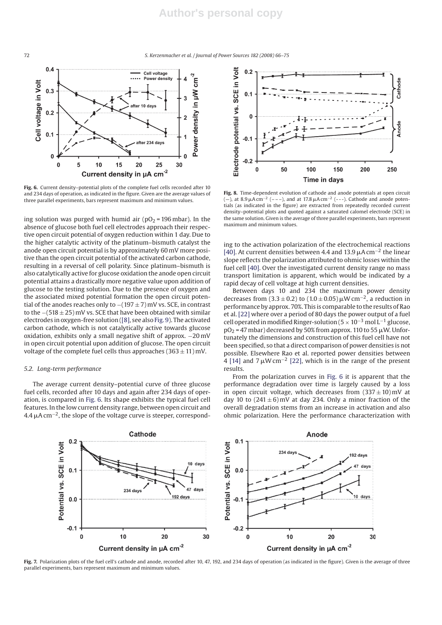72 *S. Kerzenmacher et al. / Journal of Power Sources 182 (2008) 66–75*



**Fig. 6.** Current density–potential plots of the complete fuel cells recorded after 10 and 234 days of operation, as indicated in the figure. Given are the average values of three parallel experiments, bars represent maximum and minimum values.

ing solution was purged with humid air ( $pO<sub>2</sub>$  = 196 mbar). In the absence of glucose both fuel cell electrodes approach their respective open circuit potential of oxygen reduction within 1 day. Due to the higher catalytic activity of the platinum–bismuth catalyst the anode open circuit potential is by approximately 60 mV more positive than the open circuit potential of the activated carbon cathode, resulting in a reversal of cell polarity. Since platinum–bismuth is also catalytically active for glucose oxidation the anode open circuit potential attains a drastically more negative value upon addition of glucose to the testing solution. Due to the presence of oxygen and the associated mixed potential formation the open circuit potential of the anodes reaches only to  $-(197 \pm 7)$  mV vs. SCE, in contrast to the  $-(518 \pm 25)$  mV vs. SCE that have been obtained with similar electrodes in oxygen-free solution ([8], see also Fig. 9). The activated carbon cathode, which is not catalytically active towards glucose oxidation, exhibits only a small negative shift of approx. −20 mV in open circuit potential upon addition of glucose. The open circuit voltage of the complete fuel cells thus approaches  $(363 \pm 11)$  mV.

## *5.2. Long-term performance*

The average current density–potential curve of three glucose fuel cells, recorded after 10 days and again after 234 days of operation, is compared in Fig. 6. Its shape exhibits the typical fuel cell features. In the low current density range, between open circuit and 4.4  $\mu$ A cm<sup>-2</sup>, the slope of the voltage curve is steeper, correspond-



**Fig. 8.** Time-dependent evolution of cathode and anode potentials at open circuit (−), at 8.9  $\mu$ A cm<sup>-2</sup> (−−−), and at 17.8  $\mu$ A cm<sup>-2</sup> (−−−). Cathode and anode potentials (as indicated in the figure) are extracted from repeatedly recorded current density–potential plots and quoted against a saturated calomel electrode (SCE) in the same solution. Given is the average of three parallel experiments, bars represent maximum and minimum values.

ing to the activation polarization of the electrochemical reactions [40]. At current densities between 4.4 and 13.9  $\mu$ A cm<sup>-2</sup> the linear slope reflects the polarization attributed to ohmic losses within the fuel cell [40]. Over the investigated current density range no mass transport limitation is apparent, which would be indicated by a rapid decay of cell voltage at high current densities.

Between days 10 and 234 the maximum power density decreases from (3.3  $\pm$  0.2) to (1.0  $\pm$  0.05)  $\mu$ W cm<sup>-2</sup>, a reduction in performance by approx. 70%. This is comparable to the results of Rao et al. [22] where over a period of 80 days the power output of a fuel cell operated in modified Ringer-solution ( $5 \times 10^{-3}$  mol L<sup>-1</sup> glucose,  $\text{pO}_2$  = 47 mbar) decreased by 50% from approx. 110 to 55  $\mu$ W. Unfortunately the dimensions and construction of this fuel cell have not been specified, so that a direct comparison of power densities is not possible. Elsewhere Rao et al. reported power densities between 4 [14] and 7  $\mu$ W cm<sup>-2</sup> [22], which is in the range of the present results.

From the polarization curves in Fig. 6 it is apparent that the performance degradation over time is largely caused by a loss in open circuit voltage, which decreases from  $(337 \pm 10)$  mV at day 10 to  $(241 \pm 6)$  mV at day 234. Only a minor fraction of the overall degradation stems from an increase in activation and also ohmic polarization. Here the performance characterization with



Fig. 7. Polarization plots of the fuel cell's cathode and anode, recorded after 10, 47, 192, and 234 days of operation (as indicated in the figure). Given is the average of three parallel experiments, bars represent maximum and minimum values.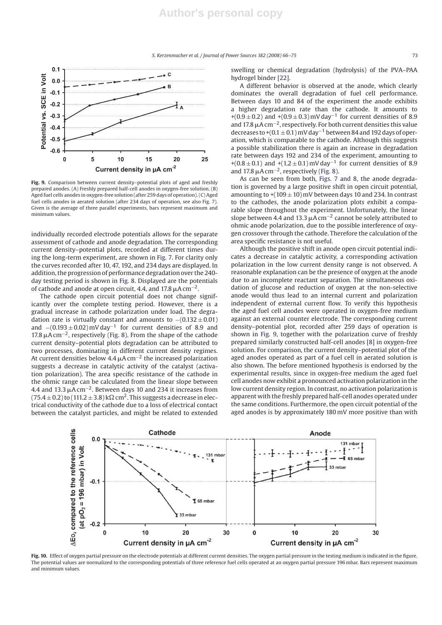*S. Kerzenmacher et al. / Journal of Power Sources 182 (2008) 66–75* 73



**Fig. 9.** Comparison between current density–potential plots of aged and freshly prepared anodes. (A) Freshly prepared half-cell anodes in oxygen-free solution. (B) Aged fuel cells anodes in oxygen-free solution (after 259 days of operation). (C) Aged fuel cells anodes in aerated solution (after 234 days of operation, see also Fig. 7). Given is the average of three parallel experiments, bars represent maximum and minimum values.

individually recorded electrode potentials allows for the separate assessment of cathode and anode degradation. The corresponding current density–potential plots, recorded at different times during the long-term experiment, are shown in Fig. 7. For clarity only the curves recorded after 10, 47, 192, and 234 days are displayed. In addition, the progression of performance degradation over the 240 day testing period is shown in Fig. 8. Displayed are the potentials of cathode and anode at open circuit, 4.4, and 17.8  $\mu$ A cm $^{-2}$ .

The cathode open circuit potential does not change significantly over the complete testing period. However, there is a gradual increase in cathode polarization under load. The degradation rate is virtually constant and amounts to  $-(0.132 \pm 0.01)$ and  $-(0.193 \pm 0.02)$  mV day<sup>-1</sup> for current densities of 8.9 and 17.8  $\mu$ A cm<sup>-2</sup>, respectively (Fig. 8). From the shape of the cathode current density–potential plots degradation can be attributed to two processes, dominating in different current density regimes. At current densities below 4.4  $\mu$ A cm<sup>-2</sup> the increased polarization suggests a decrease in catalytic activity of the catalyst (activation polarization). The area specific resistance of the cathode in the ohmic range can be calculated from the linear slope between 4.4 and 13.3  $\mu$ A cm<sup>−2</sup>. Between days 10 and 234 it increases from  $(75.4 \pm 0.2)$  to  $(111.2 \pm 3.8)$  k $\Omega$  cm<sup>2</sup>. This suggests a decrease in electrical conductivity of the cathode due to a loss of electrical contact between the catalyst particles, and might be related to extended swelling or chemical degradation (hydrolysis) of the PVA–PAA hydrogel binder [22].

A different behavior is observed at the anode, which clearly dominates the overall degradation of fuel cell performance. Between days 10 and 84 of the experiment the anode exhibits a higher degradation rate than the cathode. It amounts to +(0.9  $\pm$  0.2) and +(0.9  $\pm$  0.3) mV day<sup>-1</sup> for current densities of 8.9 and 17.8  $\mu$ A cm<sup>-2</sup>, respectively. For both current densities this value decreases to +(0.1  $\pm$  0.1) mV day<sup>-1</sup> between 84 and 192 days of operation, which is comparable to the cathode. Although this suggests a possible stabilization there is again an increase in degradation rate between days 192 and 234 of the experiment, amounting to +(0.8 ± 0.1) and +(1.2 ± 0.1) mV day<sup>-1</sup> for current densities of 8.9 and 17.8  $\mu$ A cm<sup>-2</sup>, respectively (Fig. 8).

As can be seen from both, Figs. 7 and 8, the anode degradation is governed by a large positive shift in open circuit potential, amounting to  $+(109 \pm 10)$  mV between days 10 and 234. In contrast to the cathodes, the anode polarization plots exhibit a comparable slope throughout the experiment. Unfortunately, the linear slope between 4.4 and 13.3  $\mu$ A cm<sup>-2</sup> cannot be solely attributed to ohmic anode polarization, due to the possible interference of oxygen crossover through the cathode. Therefore the calculation of the area specific resistance is not useful.

Although the positive shift in anode open circuit potential indicates a decrease in catalytic activity, a corresponding activation polarization in the low current density range is not observed. A reasonable explanation can be the presence of oxygen at the anode due to an incomplete reactant separation. The simultaneous oxidation of glucose and reduction of oxygen at the non-selective anode would thus lead to an internal current and polarization independent of external current flow. To verify this hypothesis the aged fuel cell anodes were operated in oxygen-free medium against an external counter electrode. The corresponding current density–potential plot, recorded after 259 days of operation is shown in Fig. 9, together with the polarization curve of freshly prepared similarly constructed half-cell anodes [8] in oxygen-free solution. For comparison, the current density–potential plot of the aged anodes operated as part of a fuel cell in aerated solution is also shown. The before mentioned hypothesis is endorsed by the experimental results, since in oxygen-free medium the aged fuel cell anodes now exhibit a pronounced activation polarization in the low current density region. In contrast, no activation polarization is apparent with the freshly prepared half-cell anodes operated under the same conditions. Furthermore, the open circuit potential of the aged anodes is by approximately 180 mV more positive than with



**Fig. 10.** Effect of oxygen partial pressure on the electrode potentials at different current densities. The oxygen partial pressure in the testing medium is indicated in the figure. The potential values are normalized to the corresponding potentials of three reference fuel cells operated at an oxygen partial pressure 196 mbar. Bars represent maximum and minimum values.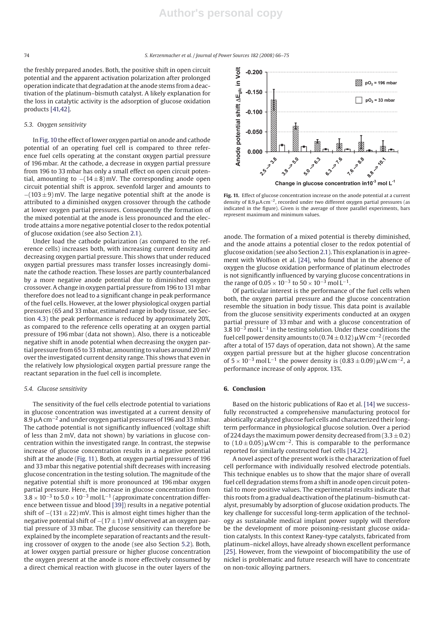the freshly prepared anodes. Both, the positive shift in open circuit potential and the apparent activation polarization after prolonged operation indicate that degradation at the anode stems from a deactivation of the platinum–bismuth catalyst. A likely explanation for the loss in catalytic activity is the adsorption of glucose oxidation products [41,42].

## *5.3. Oxygen sensitivity*

In Fig. 10 the effect of lower oxygen partial on anode and cathode potential of an operating fuel cell is compared to three reference fuel cells operating at the constant oxygen partial pressure of 196 mbar. At the cathode, a decrease in oxygen partial pressure from 196 to 33 mbar has only a small effect on open circuit potential, amounting to  $-(14\pm8)$  mV. The corresponding anode open circuit potential shift is approx. sevenfold larger and amounts to −(103 ± 9) mV. The large negative potential shift at the anode is attributed to a diminished oxygen crossover through the cathode at lower oxygen partial pressures. Consequently the formation of the mixed potential at the anode is less pronounced and the electrode attains a more negative potential closer to the redox potential of glucose oxidation (see also Section 2.1).

Under load the cathode polarization (as compared to the reference cells) increases both, with increasing current density and decreasing oxygen partial pressure. This shows that under reduced oxygen partial pressures mass transfer losses increasingly dominate the cathode reaction. These losses are partly counterbalanced by a more negative anode potential due to diminished oxygen crossover. A change in oxygen partial pressure from 196 to 131 mbar therefore does not lead to a significant change in peak performance of the fuel cells. However, at the lower physiological oxygen partial pressures (65 and 33 mbar, estimated range in body tissue, see Section 4.3) the peak performance is reduced by approximately 20%, as compared to the reference cells operating at an oxygen partial pressure of 196 mbar (data not shown). Also, there is a noticeable negative shift in anode potential when decreasing the oxygen partial pressure from 65 to 33 mbar, amounting to values around 20 mV over the investigated current density range. This shows that even in the relatively low physiological oxygen partial pressure range the reactant separation in the fuel cell is incomplete.

#### *5.4. Glucose sensitivity*

The sensitivity of the fuel cells electrode potential to variations in glucose concentration was investigated at a current density of 8.9  $\mu$ A cm $^{-2}$  and under oxygen partial pressures of 196 and 33 mbar. The cathode potential is not significantly influenced (voltage shift of less than 2 mV, data not shown) by variations in glucose concentration within the investigated range. In contrast, the stepwise increase of glucose concentration results in a negative potential shift at the anode (Fig. 11). Both, at oxygen partial pressures of 196 and 33 mbar this negative potential shift decreases with increasing glucose concentration in the testing solution. The magnitude of the negative potential shift is more pronounced at 196 mbar oxygen partial pressure. Here, the increase in glucose concentration from  $3.8 \times 10^{-3}$  to  $5.0 \times 10^{-3}$  mol L<sup>-1</sup> (approximate concentration difference between tissue and blood [39]) results in a negative potential shift of −(131 ± 22) mV. This is almost eight times higher than the negative potential shift of  $-(17 \pm 1)$  mV observed at an oxygen partial pressure of 33 mbar. The glucose sensitivity can therefore be explained by the incomplete separation of reactants and the resulting crossover of oxygen to the anode (see also Section 5.2). Both, at lower oxygen partial pressure or higher glucose concentration the oxygen present at the anode is more effectively consumed by a direct chemical reaction with glucose in the outer layers of the



**Fig. 11.** Effect of glucose concentration increase on the anode potential at a current density of 8.9  $\mu$ A cm<sup>-2</sup>, recorded under two different oxygen partial pressures (as indicated in the figure). Given is the average of three parallel experiments, bars represent maximum and minimum values.

anode. The formation of a mixed potential is thereby diminished, and the anode attains a potential closer to the redox potential of glucose oxidation (see also Section 2.1). This explanation is in agreement with Wolfson et al. [24], who found that in the absence of oxygen the glucose oxidation performance of platinum electrodes is not significantly influenced by varying glucose concentrations in the range of  $0.05 \times 10^{-3}$  to  $50 \times 10^{-3}$  mol L<sup>-1</sup>.

Of particular interest is the performance of the fuel cells when both, the oxygen partial pressure and the glucose concentration resemble the situation in body tissue. This data point is available from the glucose sensitivity experiments conducted at an oxygen partial pressure of 33 mbar and with a glucose concentration of 3.8 10<sup>-3</sup> mol L<sup>-1</sup> in the testing solution. Under these conditions the fuel cell power density amounts to (0.74  $\pm$  0.12)  $\mu$ W cm $^{-2}$  (recorded after a total of 157 days of operation, data not shown). At the same oxygen partial pressure but at the higher glucose concentration of  $5 \times 10^{-3}$  mol L<sup>-1</sup> the power density is  $(0.83 \pm 0.09)$   $\mu$ W cm<sup>-2</sup>, a performance increase of only approx. 13%.

## **6. Conclusion**

Based on the historic publications of Rao et al. [14] we successfully reconstructed a comprehensive manufacturing protocol for abiotically catalyzed glucose fuel cells and characterized their longterm performance in physiological glucose solution. Over a period of 224 days the maximum power density decreased from  $(3.3 \pm 0.2)$ to  $(1.0 \pm 0.05)$   $\mu$ W cm<sup>-2</sup>. This is comparable to the performance reported for similarly constructed fuel cells [14,22].

A novel aspect of the present work is the characterization of fuel cell performance with individually resolved electrode potentials. This technique enables us to show that the major share of overall fuel cell degradation stems from a shift in anode open circuit potential to more positive values. The experimental results indicate that this roots from a gradual deactivation of the platinum–bismuth catalyst, presumably by adsorption of glucose oxidation products. The key challenge for successful long-term application of the technology as sustainable medical implant power supply will therefore be the development of more poisoning-resistant glucose oxidation catalysts. In this context Raney-type catalysts, fabricated from platinum–nickel alloys, have already shown excellent performance [25]. However, from the viewpoint of biocompatibility the use of nickel is problematic and future research will have to concentrate on non-toxic alloying partners.